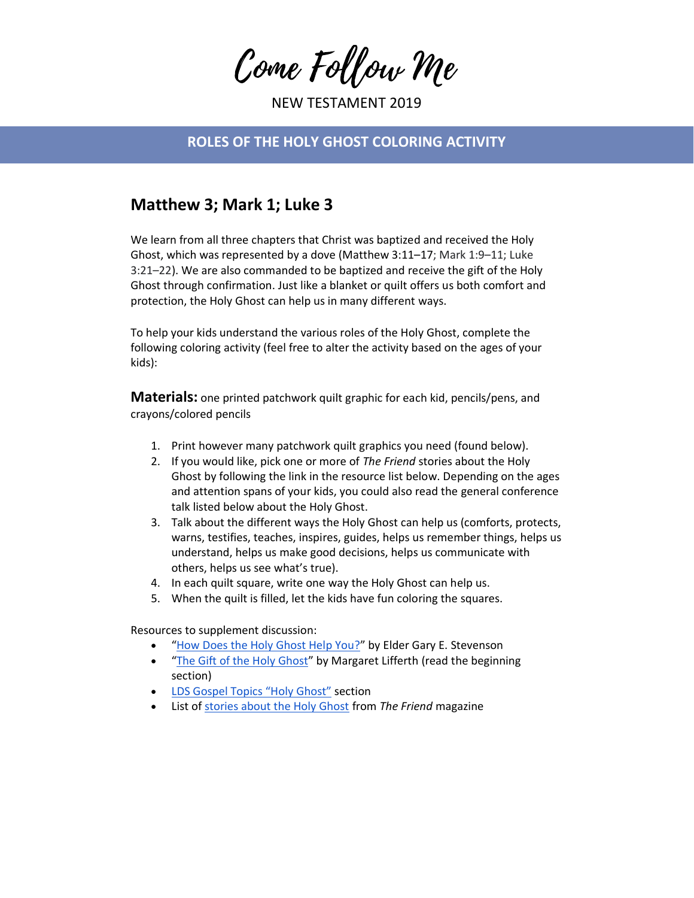Come Follow Me

NEW TESTAMENT 2019

## **ROLES OF THE HOLY GHOST COLORING ACTIVITY**

## **Matthew 3; Mark 1; Luke 3**

We learn from all three chapters that Christ was baptized and received the Holy Ghost, which was represented by a dove (Matthew 3:11–17; Mark 1:9–11; Luke 3:21–22). We are also commanded to be baptized and receive the gift of the Holy Ghost through confirmation. Just like a blanket or quilt offers us both comfort and protection, the Holy Ghost can help us in many different ways.

To help your kids understand the various roles of the Holy Ghost, complete the following coloring activity (feel free to alter the activity based on the ages of your kids):

**Materials:** one printed patchwork quilt graphic for each kid, pencils/pens, and crayons/colored pencils

- 1. Print however many patchwork quilt graphics you need (found below).
- 2. If you would like, pick one or more of *The Friend* stories about the Holy Ghost by following the link in the resource list below. Depending on the ages and attention spans of your kids, you could also read the general conference talk listed below about the Holy Ghost.
- 3. Talk about the different ways the Holy Ghost can help us (comforts, protects, warns, testifies, teaches, inspires, guides, helps us remember things, helps us understand, helps us make good decisions, helps us communicate with others, helps us see what's true).
- 4. In each quilt square, write one way the Holy Ghost can help us.
- 5. When the quilt is filled, let the kids have fun coloring the squares.

Resources to supplement discussion:

- "[How Does the Holy Ghost Help You?](https://www.lds.org/general-conference/2017/04/how-does-the-holy-ghost-help-you?lang=eng)" by Elder Gary E. Stevenson
- "[The Gift of the Holy Ghost](https://www.lds.org/friend/2005/08/sharing-time-the-gift-of-the-holy-ghost?lang=eng&_r=1)" by Margaret Lifferth (read the beginning section)
- **[LDS Gospel Topics "Holy Ghost"](https://www.lds.org/topics/holy-ghost?lang=eng) section**
- List o[f stories about the Holy Ghost](https://www.lds.org/children/resources/topics/holy-ghost?lang=eng&_r=1) from *The Friend* magazine